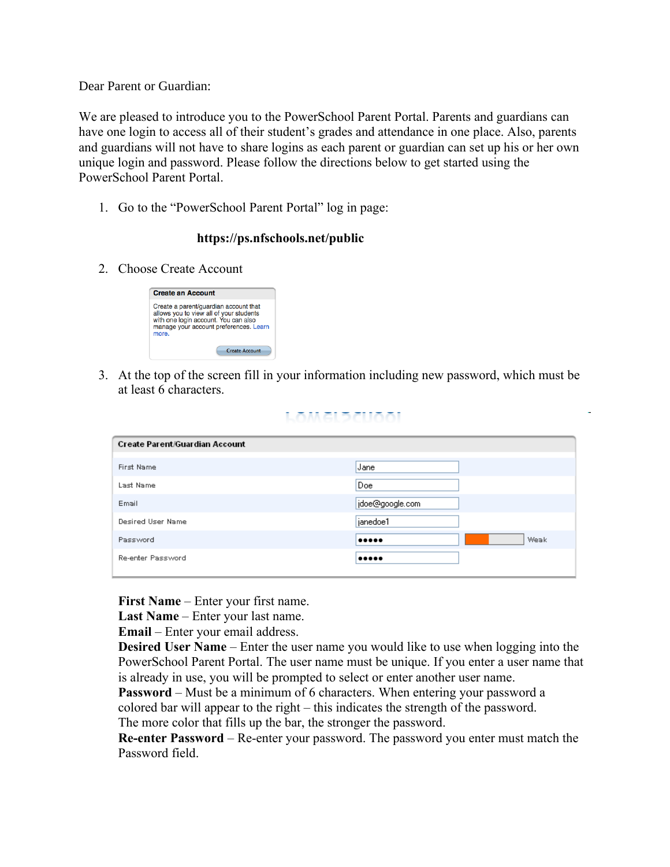Dear Parent or Guardian:

We are pleased to introduce you to the PowerSchool Parent Portal. Parents and guardians can have one login to access all of their student's grades and attendance in one place. Also, parents and guardians will not have to share logins as each parent or guardian can set up his or her own unique login and password. Please follow the directions below to get started using the PowerSchool Parent Portal.

1. Go to the "PowerSchool Parent Portal" log in page:

## **https://ps.nfschools.net/public**

2. Choose Create Account



3. At the top of the screen fill in your information including new password, which must be at least 6 characters.

|  | -- | $\overline{\phantom{a}}$ |  |  |
|--|----|--------------------------|--|--|
|  |    |                          |  |  |

| <b>Create Parent/Guardian Account</b> |                 |  |  |  |  |  |  |
|---------------------------------------|-----------------|--|--|--|--|--|--|
| First Name                            | Jane            |  |  |  |  |  |  |
| Last Name                             | Doe             |  |  |  |  |  |  |
| Email                                 | jdoe@google.com |  |  |  |  |  |  |
| Desired User Name                     | janedoe1        |  |  |  |  |  |  |
| Password                              | Weak<br>        |  |  |  |  |  |  |
| Re-enter Password                     |                 |  |  |  |  |  |  |

**First Name** – Enter your first name.

**Last Name** – Enter your last name.

**Email** – Enter your email address.

**Desired User Name** – Enter the user name you would like to use when logging into the PowerSchool Parent Portal. The user name must be unique. If you enter a user name that is already in use, you will be prompted to select or enter another user name.

**Password** – Must be a minimum of 6 characters. When entering your password a colored bar will appear to the right – this indicates the strength of the password. The more color that fills up the bar, the stronger the password.

**Re-enter Password** – Re-enter your password. The password you enter must match the Password field.